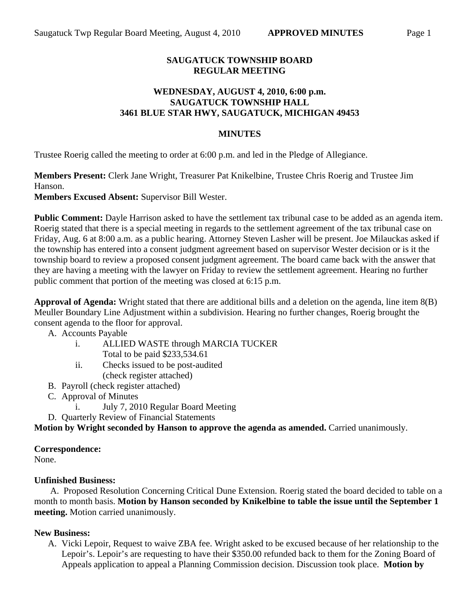## **SAUGATUCK TOWNSHIP BOARD REGULAR MEETING**

### **WEDNESDAY, AUGUST 4, 2010, 6:00 p.m. SAUGATUCK TOWNSHIP HALL 3461 BLUE STAR HWY, SAUGATUCK, MICHIGAN 49453**

### **MINUTES**

Trustee Roerig called the meeting to order at 6:00 p.m. and led in the Pledge of Allegiance.

**Members Present:** Clerk Jane Wright, Treasurer Pat Knikelbine, Trustee Chris Roerig and Trustee Jim Hanson.

**Members Excused Absent:** Supervisor Bill Wester.

**Public Comment:** Dayle Harrison asked to have the settlement tax tribunal case to be added as an agenda item. Roerig stated that there is a special meeting in regards to the settlement agreement of the tax tribunal case on Friday, Aug. 6 at 8:00 a.m. as a public hearing. Attorney Steven Lasher will be present. Joe Milauckas asked if the township has entered into a consent judgment agreement based on supervisor Wester decision or is it the township board to review a proposed consent judgment agreement. The board came back with the answer that they are having a meeting with the lawyer on Friday to review the settlement agreement. Hearing no further public comment that portion of the meeting was closed at 6:15 p.m.

**Approval of Agenda:** Wright stated that there are additional bills and a deletion on the agenda, line item 8(B) Meuller Boundary Line Adjustment within a subdivision. Hearing no further changes, Roerig brought the consent agenda to the floor for approval.

A. Accounts Payable

- i. ALLIED WASTE through MARCIA TUCKER Total to be paid \$233,534.61
- ii. Checks issued to be post-audited (check register attached)
- B. Payroll (check register attached)
- C. Approval of Minutes
	- i. July 7, 2010 Regular Board Meeting
- D. Quarterly Review of Financial Statements

**Motion by Wright seconded by Hanson to approve the agenda as amended.** Carried unanimously.

#### **Correspondence:**

None.

## **Unfinished Business:**

 A. Proposed Resolution Concerning Critical Dune Extension. Roerig stated the board decided to table on a month to month basis. **Motion by Hanson seconded by Knikelbine to table the issue until the September 1 meeting.** Motion carried unanimously.

## **New Business:**

A. Vicki Lepoir, Request to waive ZBA fee. Wright asked to be excused because of her relationship to the Lepoir's. Lepoir's are requesting to have their \$350.00 refunded back to them for the Zoning Board of Appeals application to appeal a Planning Commission decision. Discussion took place. **Motion by**